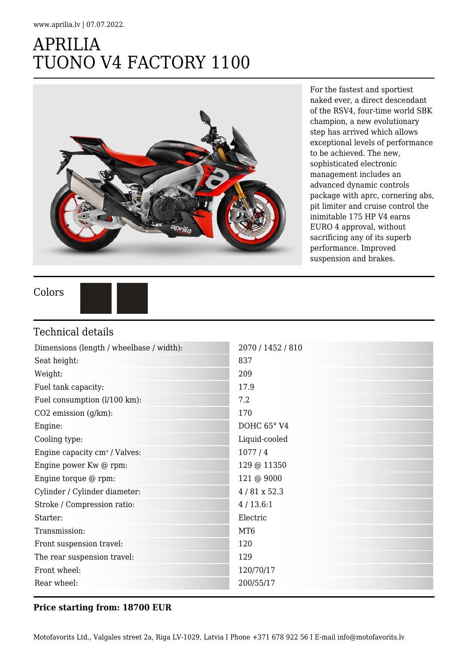## APRILIA TUONO V4 FACTORY 1100



For the fastest and sportiest naked ever, a direct descendant of the RSV4, four-time world SBK champion, a new evolutionary step has arrived which allows exceptional levels of performance to be achieved. The new, sophisticated electronic management includes an advanced dynamic controls package with aprc, cornering abs, pit limiter and cruise control the inimitable 175 HP V4 earns EURO 4 approval, without sacrificing any of its superb performance. Improved suspension and brakes.

Colors



## Technical details

| Dimensions (length / wheelbase / width):  | 2070 / 1452 / 810  |
|-------------------------------------------|--------------------|
| Seat height:                              | 837                |
| Weight:                                   | 209                |
| Fuel tank capacity:                       | 17.9               |
| Fuel consumption (l/100 km):              | 7.2                |
| CO2 emission (g/km):                      | 170                |
| Engine:                                   | DOHC 65° V4        |
| Cooling type:                             | Liquid-cooled      |
| Engine capacity cm <sup>3</sup> / Valves: | 1077/4             |
| Engine power Kw @ rpm:                    | 129 @ 11350        |
| Engine torque @ rpm:                      | 121 @ 9000         |
| Cylinder / Cylinder diameter:             | $4/81 \times 52.3$ |
| Stroke / Compression ratio:               | 4/13.6:1           |
| Starter:                                  | Electric           |
| Transmission:                             | MT <sub>6</sub>    |
| Front suspension travel:                  | 120                |
| The rear suspension travel:               | 129                |
| Front wheel:                              | 120/70/17          |
| Rear wheel:                               | 200/55/17          |

## **Price starting from: 18700 EUR**